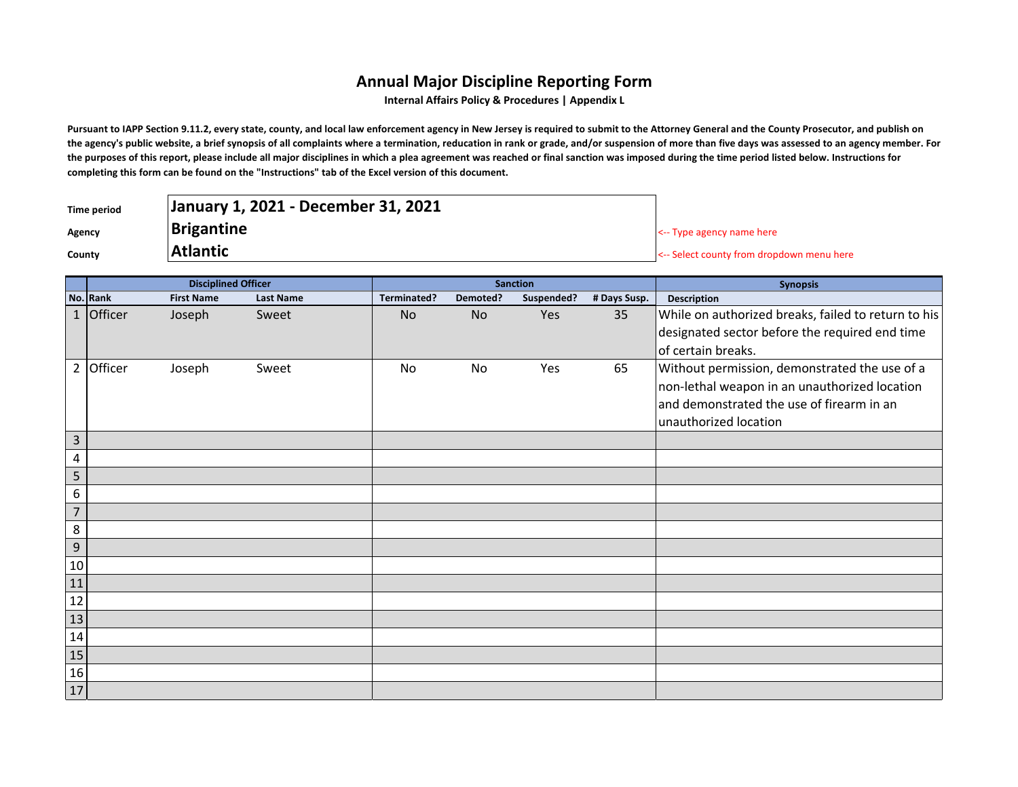## **Annual Major Discipline Reporting Form**

**Internal Affairs Policy & Procedures | Appendix L**

Pursuant to IAPP Section 9.11.2, every state, county, and local law enforcement agency in New Jersey is required to submit to the Attorney General and the County Prosecutor, and publish on **the agency's public website, a brief synopsis of all complaints where a termination, reducation in rank or grade, and/or suspension of more than five days was assessed to an agency member. For the purposes of this report, please include all major disciplines in which a plea agreement was reached or final sanction was imposed during the time period listed below. Instructions for completing this form can be found on the "Instructions" tab of the Excel version of this document.**

| Time period | January 1, 2021 - December 31, 2021 |                                           |
|-------------|-------------------------------------|-------------------------------------------|
| Agency      | <b>Brigantine</b>                   | $\leq$ -- Type agency name here           |
| County      | <b>Atlantic</b>                     | <-- Select county from dropdown menu here |

|                         | <b>Disciplined Officer</b> |                   |                  | <b>Sanction</b> |          |            |              | <b>Synopsis</b>                                     |
|-------------------------|----------------------------|-------------------|------------------|-----------------|----------|------------|--------------|-----------------------------------------------------|
|                         | No. Rank                   | <b>First Name</b> | <b>Last Name</b> | Terminated?     | Demoted? | Suspended? | # Days Susp. | <b>Description</b>                                  |
|                         | $1$ Officer                | Joseph            | Sweet            | <b>No</b>       | No       | Yes        | 35           | While on authorized breaks, failed to return to his |
|                         |                            |                   |                  |                 |          |            |              | designated sector before the required end time      |
|                         |                            |                   |                  |                 |          |            |              | of certain breaks.                                  |
|                         | 2 Officer                  | Joseph            | Sweet            | No              | No       | Yes        | 65           | Without permission, demonstrated the use of a       |
|                         |                            |                   |                  |                 |          |            |              | non-lethal weapon in an unauthorized location       |
|                         |                            |                   |                  |                 |          |            |              | and demonstrated the use of firearm in an           |
|                         |                            |                   |                  |                 |          |            |              | unauthorized location                               |
| $\overline{3}$          |                            |                   |                  |                 |          |            |              |                                                     |
| $\overline{\mathbf{4}}$ |                            |                   |                  |                 |          |            |              |                                                     |
| 5                       |                            |                   |                  |                 |          |            |              |                                                     |
| 6                       |                            |                   |                  |                 |          |            |              |                                                     |
| $\overline{7}$          |                            |                   |                  |                 |          |            |              |                                                     |
| 8                       |                            |                   |                  |                 |          |            |              |                                                     |
| 9                       |                            |                   |                  |                 |          |            |              |                                                     |
| 10                      |                            |                   |                  |                 |          |            |              |                                                     |
| 11                      |                            |                   |                  |                 |          |            |              |                                                     |
| $\frac{12}{1}$          |                            |                   |                  |                 |          |            |              |                                                     |
| 13                      |                            |                   |                  |                 |          |            |              |                                                     |
| 14                      |                            |                   |                  |                 |          |            |              |                                                     |
| $\boxed{15}$            |                            |                   |                  |                 |          |            |              |                                                     |
| 16                      |                            |                   |                  |                 |          |            |              |                                                     |
| 17                      |                            |                   |                  |                 |          |            |              |                                                     |